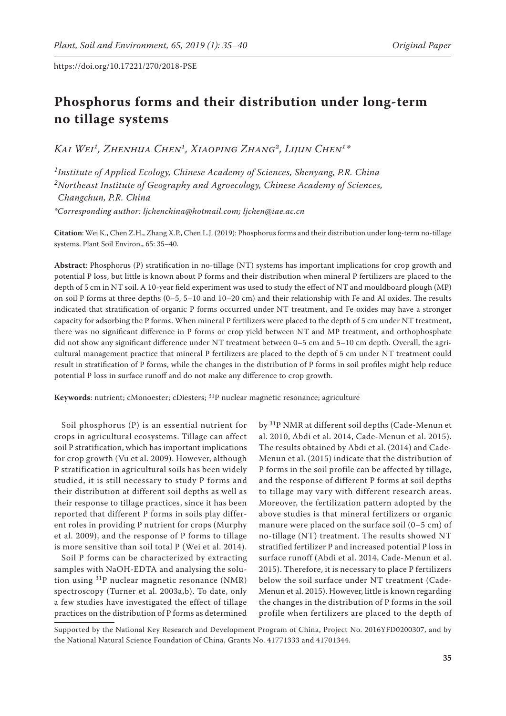# **Phosphorus forms and their distribution under long-term no tillage systems**

*Kai Wei1, Zhenhua Chen1, Xiaoping Zhang2, Lijun Chen1\**

*1Institute of Applied Ecology, Chinese Academy of Sciences, Shenyang, P.R. China 2Northeast Institute of Geography and Agroecology, Chinese Academy of Sciences, Changchun, P.R. China \*Corresponding author: ljchenchina@hotmail.com; ljchen@iae.ac.cn*

**Citation**: Wei K., Chen Z.H., Zhang X.P., Chen L.J. (2019): Phosphorus forms and their distribution under long-term no-tillage systems. Plant Soil Environ., 65: 35–40.

**Abstract**: Phosphorus (P) stratification in no-tillage (NT) systems has important implications for crop growth and potential P loss, but little is known about P forms and their distribution when mineral P fertilizers are placed to the depth of 5 cm in NT soil. A 10-year field experiment was used to study the effect of NT and mouldboard plough (MP) on soil P forms at three depths (0–5, 5–10 and 10–20 cm) and their relationship with Fe and Al oxides. The results indicated that stratification of organic P forms occurred under NT treatment, and Fe oxides may have a stronger capacity for adsorbing the P forms. When mineral P fertilizers were placed to the depth of 5 cm under NT treatment, there was no significant difference in P forms or crop yield between NT and MP treatment, and orthophosphate did not show any significant difference under NT treatment between 0–5 cm and 5–10 cm depth. Overall, the agricultural management practice that mineral P fertilizers are placed to the depth of 5 cm under NT treatment could result in stratification of P forms, while the changes in the distribution of P forms in soil profiles might help reduce potential P loss in surface runoff and do not make any difference to crop growth.

**Keywords**: nutrient; cMonoester; cDiesters; <sup>31</sup>P nuclear magnetic resonance; agriculture

Soil phosphorus (P) is an essential nutrient for crops in agricultural ecosystems. Tillage can affect soil P stratification, which has important implications for crop growth (Vu et al. 2009). However, although P stratification in agricultural soils has been widely studied, it is still necessary to study P forms and their distribution at different soil depths as well as their response to tillage practices, since it has been reported that different P forms in soils play different roles in providing P nutrient for crops (Murphy et al. 2009), and the response of P forms to tillage is more sensitive than soil total P (Wei et al. 2014).

Soil P forms can be characterized by extracting samples with NaOH-EDTA and analysing the solution using  ${}^{31}P$  nuclear magnetic resonance (NMR) spectroscopy (Turner et al. 2003a,b). To date, only a few studies have investigated the effect of tillage practices on the distribution of P forms as determined

by 31P NMR at different soil depths (Cade-Menun et al. 2010, Abdi et al. 2014, Cade-Menun et al. 2015). The results obtained by Abdi et al. (2014) and Cade-Menun et al. (2015) indicate that the distribution of P forms in the soil profile can be affected by tillage, and the response of different P forms at soil depths to tillage may vary with different research areas. Moreover, the fertilization pattern adopted by the above studies is that mineral fertilizers or organic manure were placed on the surface soil (0–5 cm) of no-tillage (NT) treatment. The results showed NT stratified fertilizer P and increased potential P loss in surface runoff (Abdi et al. 2014, Cade-Menun et al. 2015). Therefore, it is necessary to place P fertilizers below the soil surface under NT treatment (Cade-Menun et al. 2015). However, little is known regarding the changes in the distribution of P forms in the soil profile when fertilizers are placed to the depth of

Supported by the National Key Research and Development Program of China, Project No. 2016YFD0200307, and by the National Natural Science Foundation of China, Grants No. 41771333 and 41701344.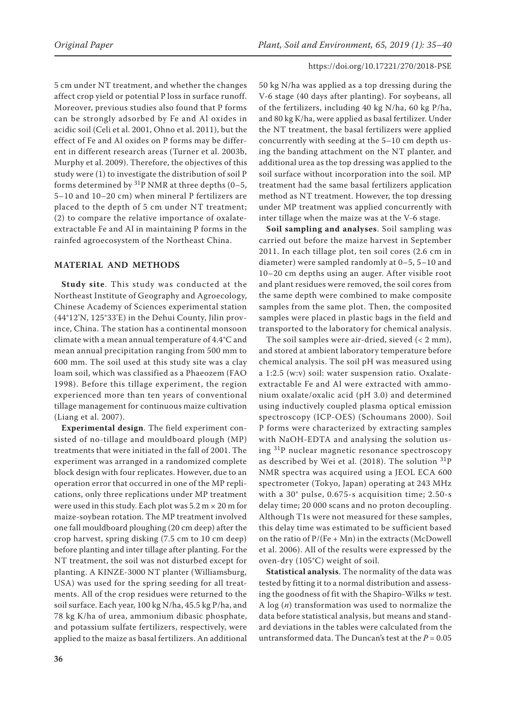5 cm under NT treatment, and whether the changes affect crop yield or potential P loss in surface runoff. Moreover, previous studies also found that P forms can be strongly adsorbed by Fe and Al oxides in acidic soil (Celi et al. 2001, Ohno et al. 2011), but the effect of Fe and Al oxides on P forms may be different in different research areas (Turner et al. 2003b, Murphy et al. 2009). Therefore, the objectives of this study were (1) to investigate the distribution of soil P forms determined by  ${}^{31}P$  NMR at three depths (0–5, 5–10 and 10–20 cm) when mineral P fertilizers are placed to the depth of 5 cm under NT treatment; (2) to compare the relative importance of oxalateextractable Fe and Al in maintaining P forms in the rainfed agroecosystem of the Northeast China.

## **MATERIAL AND METHODS**

**Study site**. This study was conducted at the Northeast Institute of Geography and Agroecology, Chinese Academy of Sciences experimental station (44°12'N, 125°33'E) in the Dehui County, Jilin province, China. The station has a continental monsoon climate with a mean annual temperature of 4.4°C and mean annual precipitation ranging from 500 mm to 600 mm. The soil used at this study site was a clay loam soil, which was classified as a Phaeozem (FAO 1998). Before this tillage experiment, the region experienced more than ten years of conventional tillage management for continuous maize cultivation (Liang et al. 2007).

**Experimental design**. The field experiment consisted of no-tillage and mouldboard plough (MP) treatments that were initiated in the fall of 2001. The experiment was arranged in a randomized complete block design with four replicates. However, due to an operation error that occurred in one of the MP replications, only three replications under MP treatment were used in this study. Each plot was  $5.2 \text{ m} \times 20 \text{ m}$  for maize-soybean rotation. The MP treatment involved one fall mouldboard ploughing (20 cm deep) after the crop harvest, spring disking (7.5 cm to 10 cm deep) before planting and inter tillage after planting. For the NT treatment, the soil was not disturbed except for planting. A KINZE-3000 NT planter (Williamsburg, USA) was used for the spring seeding for all treatments. All of the crop residues were returned to the soil surface. Each year, 100 kg N/ha, 45.5 kg P/ha, and 78 kg K/ha of urea, ammonium dibasic phosphate, and potassium sulfate fertilizers, respectively, were applied to the maize as basal fertilizers. An additional 50 kg N/ha was applied as a top dressing during the V-6 stage (40 days after planting). For soybeans, all of the fertilizers, including 40 kg N/ha, 60 kg P/ha, and 80 kg K/ha, were applied as basal fertilizer. Under the NT treatment, the basal fertilizers were applied concurrently with seeding at the 5–10 cm depth using the banding attachment on the NT planter, and additional urea as the top dressing was applied to the soil surface without incorporation into the soil. MP treatment had the same basal fertilizers application method as NT treatment. However, the top dressing under MP treatment was applied concurrently with inter tillage when the maize was at the V-6 stage.

**Soil sampling and analyses**. Soil sampling was carried out before the maize harvest in September 2011. In each tillage plot, ten soil cores (2.6 cm in diameter) were sampled randomly at 0–5, 5–10 and 10–20 cm depths using an auger. After visible root and plant residues were removed, the soil cores from the same depth were combined to make composite samples from the same plot. Then, the composited samples were placed in plastic bags in the field and transported to the laboratory for chemical analysis.

The soil samples were air-dried, sieved (< 2 mm), and stored at ambient laboratory temperature before chemical analysis. The soil pH was measured using a 1:2.5 (w:v) soil: water suspension ratio. Oxalateextractable Fe and Al were extracted with ammonium oxalate/oxalic acid (pH 3.0) and determined using inductively coupled plasma optical emission spectroscopy (ICP-OES) (Schoumans 2000). Soil P forms were characterized by extracting samples with NaOH-EDTA and analysing the solution using 31P nuclear magnetic resonance spectroscopy as described by Wei et al. (2018). The solution 31P NMR spectra was acquired using a JEOL ECA 600 spectrometer (Tokyo, Japan) operating at 243 MHz with a 30° pulse, 0.675-s acquisition time; 2.50-s delay time; 20 000 scans and no proton decoupling. Although T1s were not measured for these samples, this delay time was estimated to be sufficient based on the ratio of  $P/(Fe + Mn)$  in the extracts (McDowell et al. 2006). All of the results were expressed by the oven-dry (105°C) weight of soil.

**Statistical analysis**. The normality of the data was tested by fitting it to a normal distribution and assessing the goodness of fit with the Shapiro-Wilks *w* test. A log (*n*) transformation was used to normalize the data before statistical analysis, but means and standard deviations in the tables were calculated from the untransformed data. The Duncan's test at the  $P = 0.05$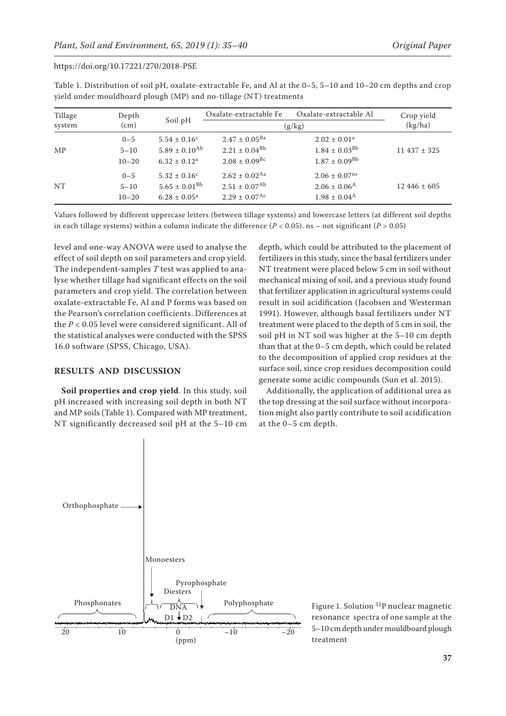| Tillage<br>system | Depth<br>(cm)                    | Soil pH                                                                           | Oxalate-extractable Fe                                                                     | Crop yield<br>(kg/ha)                                                               |                 |
|-------------------|----------------------------------|-----------------------------------------------------------------------------------|--------------------------------------------------------------------------------------------|-------------------------------------------------------------------------------------|-----------------|
| MP                | $0 - 5$<br>$5 - 10$<br>$10 - 20$ | $5.54 \pm 0.16^c$<br>$5.89 \pm 0.10^{Ab}$<br>$6.32 \pm 0.12^a$                    | $2.47 \pm 0.05^{Ba}$<br>$2.21 \pm 0.04^{Bb}$<br>$2.08 \pm 0.09$ <sup>Bc</sup>              | (g/kg)<br>$2.02 \pm 0.01^a$<br>$1.84 \pm 0.03^{Bb}$<br>$1.87 \pm 0.09^{Bb}$         | $11437 \pm 325$ |
| NT                | $0 - 5$<br>$5 - 10$<br>$10 - 20$ | $5.32 \pm 0.16^{\circ}$<br>$5.65 \pm 0.01^{\rm Bb}$<br>$6.28 \pm 0.05^{\text{a}}$ | $2.62 \pm 0.02$ <sup>Aa</sup><br>$2.51 \pm 0.07^{\rm Ab}$<br>$2.29 \pm 0.07$ <sup>Ac</sup> | $2.06 \pm 0.07$ <sup>ns</sup><br>$2.06 \pm 0.06^{\rm A}$<br>$1.98 \pm 0.04^{\rm A}$ | $12446 \pm 605$ |

Table 1. Distribution of soil pH, oxalate-extractable Fe, and Al at the 0–5, 5–10 and 10–20 cm depths and crop yield under mouldboard plough (MP) and no-tillage (NT) treatments

Values followed by different uppercase letters (between tillage systems) and lowercase letters (at different soil depths in each tillage systems) within a column indicate the difference  $(P < 0.05)$ . ns – not significant  $(P > 0.05)$ 

level and one-way ANOVA were used to analyse the effect of soil depth on soil parameters and crop yield. The independent-samples *T* test was applied to analyse whether tillage had significant effects on the soil parameters and crop yield. The correlation between oxalate-extractable Fe, Al and P forms was based on the Pearson's correlation coefficients. Differences at the *P* < 0.05 level were considered significant. All of the statistical analyses were conducted with the SPSS 16.0 software (SPSS, Chicago, USA).

## **RESULTS AND DISCUSSION**

**Soil properties and crop yield**. In this study, soil pH increased with increasing soil depth in both NT and MP soils (Table 1). Compared with MP treatment, NT significantly decreased soil pH at the 5–10 cm

depth, which could be attributed to the placement of fertilizers in this study, since the basal fertilizers under NT treatment were placed below 5 cm in soil without mechanical mixing of soil, and a previous study found that fertilizer application in agricultural systems could result in soil acidification (Jacobsen and Westerman 1991). However, although basal fertilizers under NT treatment were placed to the depth of 5 cm in soil, the soil pH in NT soil was higher at the 5–10 cm depth than that at the 0–5 cm depth, which could be related to the decomposition of applied crop residues at the surface soil, since crop residues decomposition could generate some acidic compounds (Sun et al. 2015).

Additionally, the application of additional urea as the top dressing at the soil surface without incorporation might also partly contribute to soil acidification at the 0–5 cm depth.



Figure 1. Solution 31P nuclear magnetic resonance spectra of one sample at the 5–10 cm depth under mouldboard plough treatment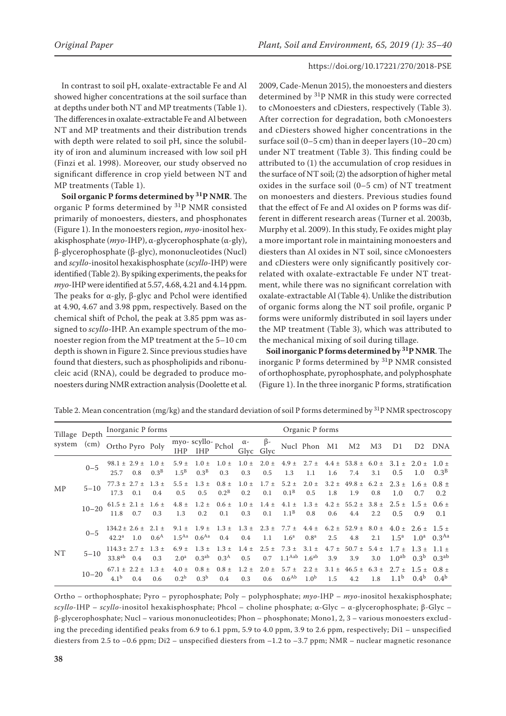In contrast to soil pH, oxalate-extractable Fe and Al showed higher concentrations at the soil surface than at depths under both NT and MP treatments (Table 1). The differences in oxalate-extractable Fe and Al between NT and MP treatments and their distribution trends with depth were related to soil pH, since the solubility of iron and aluminum increased with low soil pH (Finzi et al. 1998). Moreover, our study observed no significant difference in crop yield between NT and MP treatments (Table 1).

**Soil organic P forms determined by 31P NMR**. The organic P forms determined by 31P NMR consisted primarily of monoesters, diesters, and phosphonates (Figure 1). In the monoesters region, *myo*-inositol hexakisphosphate (*myo*-IHP), α-glycerophosphate (α-gly), β-glycerophosphate (β-glyc), mononucleotides (Nucl) and *scyllo*-inositol hexakisphosphate (*scyllo*-IHP) were identified (Table 2). By spiking experiments, the peaks for *myo*-IHP were identified at 5.57, 4.68, 4.21 and 4.14 ppm. The peaks for α-gly, β-glyc and Pchol were identified at 4.90, 4.67 and 3.98 ppm, respectively. Based on the chemical shift of Pchol, the peak at 3.85 ppm was assigned to *scyllo*-IHP. An example spectrum of the monoester region from the MP treatment at the 5–10 cm depth is shown in Figure 2. Since previous studies have found that diesters, such as phospholipids and ribonucleic acid (RNA), could be degraded to produce monoesters during NMR extraction analysis (Doolette et al. 2009, Cade-Menun 2015), the monoesters and diesters determined by <sup>31</sup>P NMR in this study were corrected to cMonoesters and cDiesters, respectively (Table 3). After correction for degradation, both cMonoesters and cDiesters showed higher concentrations in the surface soil (0–5 cm) than in deeper layers (10–20 cm) under NT treatment (Table 3). This finding could be attributed to (1) the accumulation of crop residues in the surface of NT soil; (2) the adsorption of higher metal oxides in the surface soil (0–5 cm) of NT treatment on monoesters and diesters. Previous studies found that the effect of Fe and Al oxides on P forms was different in different research areas (Turner et al. 2003b, Murphy et al. 2009). In this study, Fe oxides might play a more important role in maintaining monoesters and diesters than Al oxides in NT soil, since cMonoesters and cDiesters were only significantly positively correlated with oxalate-extractable Fe under NT treatment, while there was no significant correlation with oxalate-extractable Al (Table 4). Unlike the distribution of organic forms along the NT soil profile, organic P forms were uniformly distributed in soil layers under the MP treatment (Table 3), which was attributed to the mechanical mixing of soil during tillage.

**Soil inorganic P forms determined by 31P NMR**. The inorganic P forms determined by 31P NMR consisted of orthophosphate, pyrophosphate, and polyphosphate (Figure 1). In the three inorganic P forms, stratification

| Tillage Depth<br>system | (cm)      | Inorganic P forms                                |                               |                                | Organic P forms                |                                            |                    |                   |                                                                                                              |                            |                  |                                                                       |                  |                                                        |                               |                               |
|-------------------------|-----------|--------------------------------------------------|-------------------------------|--------------------------------|--------------------------------|--------------------------------------------|--------------------|-------------------|--------------------------------------------------------------------------------------------------------------|----------------------------|------------------|-----------------------------------------------------------------------|------------------|--------------------------------------------------------|-------------------------------|-------------------------------|
|                         |           | Ortho Pyro Poly                                  |                               | <b>IHP</b>                     | <b>IHP</b>                     | $\overline{\text{myo}}$ - scyllo-<br>Pchol | $\alpha$ -<br>Glyc | $\beta$ -<br>Glvc |                                                                                                              | Nucl Phon M1               |                  | M <sub>2</sub>                                                        | M <sub>3</sub>   | D1                                                     | D <sub>2</sub>                | DNA                           |
| MP                      | $0 - 5$   | $98.1 \pm 2.9 \pm$<br>25.7<br>0.8                | $1.0 \pm$<br>0.3 <sup>B</sup> | $5.9 \pm$<br>$1.5^{\rm B}$     | $1.0 \pm$<br>0.3 <sup>B</sup>  | $1.0 \pm$<br>0.3                           | $1.0 \pm$<br>0.3   | $2.0 \pm$<br>0.5  | $4.9 \pm$<br>1.3                                                                                             | $2.7 \pm 4.4 \pm 1$<br>1.1 | 1.6              | 53.8 $\pm$<br>7.4                                                     | $6.0 \pm$<br>3.1 | $3.1 \pm$<br>0.5                                       | $2.0 \pm$<br>1.0              | $1.0 \pm$<br>0.3 <sup>B</sup> |
|                         | $5 - 10$  | $77.3 \pm 2.7 \pm$<br>17.3<br>0.1                | $1.3 +$<br>0.4                | $5.5 \pm$<br>0.5               | $1.3 \pm$<br>0.5               | $0.8 \pm$<br>$0.2^B$                       | $1.0 \pm$<br>0.2   | $1.7 \pm$<br>0.1  | $5.2 \pm$<br>0.1 <sup>B</sup>                                                                                | $2.0 \pm$<br>0.5           | 1.8              | $3.2 \pm 49.8 \pm 1$<br>1.9                                           | $6.2 \pm$<br>0.8 | $2.3 \pm$<br>1.0                                       | $1.6 \pm 0.8 \pm 1.6$<br>0.7  | 0.2                           |
|                         | $10 - 20$ | $61.5 \pm 2.1 \pm$<br>11.8<br>0.7                | $1.6 \pm$<br>0.3              | $4.8 \pm$<br>1.3               | $1.2 \pm$<br>0.2               | 0.1                                        | 0.3                | 0.1               | $0.6 \pm \phantom{0}1.0 \pm \phantom{0}1.4 \pm \phantom{0}4.1 \pm \phantom{0}1.3 \pm \phantom{0}$<br>$1.1^B$ | 0.8                        | $4.2 \pm$<br>0.6 | 55.2 $\pm$<br>4.4                                                     | $2.2\,$          | $3.8 \pm 2.5 \pm 1.5 \pm 0.6 \pm 1.5$<br>$0.5^{\circ}$ | 0.9                           | 0.1                           |
| <b>NT</b>               | $0 - 5$   | $134.2 \pm 2.6 \pm$<br>$42.2^{\rm a}$<br>1.0     | $2.1 +$<br>0.6 <sup>A</sup>   | $9.1 \pm$<br>1.5 <sup>Aa</sup> | $1.9 \pm$<br>$0.6^{Aa}$        | $1.3 \pm$<br>0.4                           | 0.4                | 1.1               | 1.6 <sup>a</sup>                                                                                             | 0.8 <sup>a</sup>           | 2.5              | $1.3 \pm 2.3 \pm 7.7 \pm 4.4 \pm 6.2 \pm 52.9 \pm 8.0 \pm 1.3$<br>4.8 | 2.1              | $1.5^{\rm a}$                                          | $4.0 \pm 2.6 \pm 1.5 \pm 1.5$ | $1.0^a$ 0.3 <sup>Aa</sup>     |
|                         | $5 - 10$  | $114.3 \pm 2.7 \pm$<br>33.8 <sup>ab</sup><br>0.4 | $1.3 +$<br>0.3                | $6.9 +$<br>2.0 <sup>a</sup>    | $1.3 \pm$<br>0.3 <sup>ab</sup> | $1.3 \pm$<br>0.3 <sup>A</sup>              | $1.4 \pm$<br>0.5   | $2.5 \pm$<br>0.7  | $1.1^{Aab}$ $1.6^{ab}$                                                                                       | $7.3 \pm 3.1 \pm$          | $4.7 \pm$<br>3.9 | $50.7 \pm$<br>3.9                                                     | $5.4 \pm$<br>3.0 | $1.7 \pm$<br>1.0 <sup>ab</sup>                         | $1.3 \pm$<br>0.3 <sup>b</sup> | 0.3 <sup>ab</sup>             |
|                         | $10 - 20$ | $67.1 \pm 2.2 \pm$<br>4.1 <sup>b</sup><br>0.4    | $1.3 +$<br>0.6                | $4.0 \pm$<br>0.2 <sup>b</sup>  | 0.3 <sup>b</sup>               | $0.8 \pm 0.8 \pm 1.2 \pm 1.2$<br>0.4       | 0.3                | 0.6               | $2.0 \pm 5.7 \pm 2.2 \pm 1$<br>0.6 <sup>Ab</sup>                                                             | 1.0 <sup>b</sup>           | 1.5              | $3.1 \pm 46.5 \pm 6.3 \pm 2.7 \pm 1.5 \pm 0.8 \pm 1.5$<br>4.2         | 1.8              | 1.1 <sup>b</sup>                                       | $0.4^{b}$                     | $0.4^{b}$                     |

Table 2. Mean concentration (mg/kg) and the standard deviation of soil P forms determined by <sup>31</sup>P NMR spectroscopy

Ortho – orthophosphate; Pyro – pyrophosphate; Poly – polyphosphate; *myo*-IHP – *myo*-inositol hexakisphosphate; *scyllo*-IHP – *scyllo*-inositol hexakisphosphate; Phcol – choline phosphate; α-Glyc – α-glycerophosphate; β-Glyc – β-glycerophosphate; Nucl – various mononucleotides; Phon – phosphonate; Mono1, 2, 3 – various monoesters excluding the preceding identified peaks from 6.9 to 6.1 ppm, 5.9 to 4.0 ppm, 3.9 to 2.6 ppm, respectively; Di1 – unspecified diesters from 2.5 to -0.6 ppm; Di2 – unspecified diesters from -1.2 to -3.7 ppm; NMR – nuclear magnetic resonance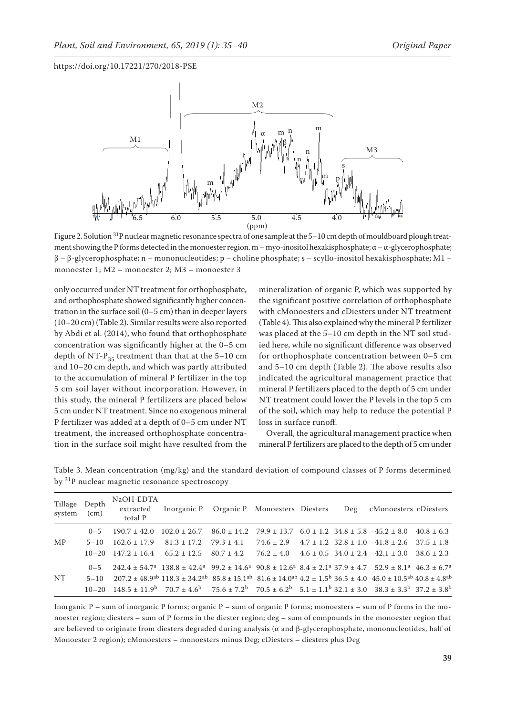

Figure 2. Solution <sup>31</sup>P nuclear magnetic resonance spectra of one sample at the 5-10 cm depth of mouldboard plough treatment showing the P forms detected in the monoester region. m – myo-inositol hexakisphosphate;  $\alpha - \alpha$ -glycerophosphate; β – β-glycerophosphate; n – mononucleotides; p – choline phosphate; s – scyllo-inositol hexakisphosphate; M1 – monoester 1; M2 – monoester 2; M3 – monoester 3

only occurred under NT treatment for orthophosphate, and orthophosphate showed significantly higher concentration in the surface soil (0–5 cm) than in deeper layers (10–20 cm) (Table 2). Similar results were also reported by Abdi et al. (2014), who found that orthophosphate concentration was significantly higher at the 0–5 cm depth of NT- $P_{35}$  treatment than that at the 5–10 cm and 10–20 cm depth, and which was partly attributed to the accumulation of mineral P fertilizer in the top 5 cm soil layer without incorporation. However, in this study, the mineral P fertilizers are placed below 5 cm under NT treatment. Since no exogenous mineral P fertilizer was added at a depth of 0–5 cm under NT treatment, the increased orthophosphate concentration in the surface soil might have resulted from the

mineralization of organic P, which was supported by the significant positive correlation of orthophosphate with cMonoesters and cDiesters under NT treatment (Table 4). This also explained why the mineral P fertilizer was placed at the 5–10 cm depth in the NT soil studied here, while no significant difference was observed for orthophosphate concentration between 0–5 cm and 5–10 cm depth (Table 2). The above results also indicated the agricultural management practice that mineral P fertilizers placed to the depth of 5 cm under NT treatment could lower the P levels in the top 5 cm of the soil, which may help to reduce the potential P loss in surface runoff.

Overall, the agricultural management practice when mineral P fertilizers are placed to the depth of 5 cm under

| Tillage Depth<br>system | (cm)     | NaOH-EDTA<br>extracted<br>total P                                                                                                                               | Inorganic P Organic P Monoesters Diesters Deg cMonoesters cDiesters |  |  |  |
|-------------------------|----------|-----------------------------------------------------------------------------------------------------------------------------------------------------------------|---------------------------------------------------------------------|--|--|--|
|                         | $0 - 5$  | $190.7 \pm 42.0$ $102.0 \pm 26.7$ $86.0 \pm 14.2$ $79.9 \pm 13.7$ $6.0 \pm 1.2$ $34.8 \pm 5.8$ $45.2 \pm 8.0$ $40.8 \pm 6.3$                                    |                                                                     |  |  |  |
| <b>MP</b>               | $5 - 10$ | $162.6 \pm 17.9$ $81.3 \pm 17.2$ $79.3 \pm 4.1$ $74.6 \pm 2.9$ $4.7 \pm 1.2$ $32.8 \pm 1.0$ $41.8 \pm 2.6$ $37.5 \pm 1.8$                                       |                                                                     |  |  |  |
|                         |          | $10-20$ $147.2 \pm 16.4$ $65.2 \pm 12.5$ $80.7 \pm 4.2$ $76.2 \pm 4.0$ $4.6 \pm 0.5$ $34.0 \pm 2.4$ $42.1 \pm 3.0$ $38.6 \pm 2.3$                               |                                                                     |  |  |  |
| NT.                     | $0 - 5$  | $242.4 \pm 54.7^a$ 138.8 $\pm 42.4^a$ 99.2 $\pm 14.6^a$ 90.8 $\pm 12.6^a$ 8.4 $\pm 2.1^a$ 37.9 $\pm 4.7$ 52.9 $\pm 8.1^a$ 46.3 $\pm 6.7^a$                      |                                                                     |  |  |  |
|                         | $5 - 10$ | $207.2 \pm 48.9^{ab}$ 118.3 $\pm 34.2^{ab}$ 85.8 $\pm 15.1^{ab}$ 81.6 $\pm 14.0^{ab}$ 4.2 $\pm 1.5^{b}$ 36.5 $\pm 4.0$ 45.0 $\pm 10.5^{ab}$ 40.8 $\pm 4.8^{ab}$ |                                                                     |  |  |  |
|                         |          | $10-20$ $148.5 \pm 11.9$ $70.7 \pm 4.6$ $75.6 \pm 7.2$ $70.5 \pm 6.2$ $5.1 \pm 1.1$ $32.1 \pm 3.0$ $38.3 \pm 3.3$ $37.2 \pm 3.8$                                |                                                                     |  |  |  |

Table 3. Mean concentration (mg/kg) and the standard deviation of compound classes of P forms determined by 31P nuclear magnetic resonance spectroscopy

Inorganic P – sum of inorganic P forms; organic P – sum of organic P forms; monoesters – sum of P forms in the monoester region; diesters – sum of P forms in the diester region; deg – sum of compounds in the monoester region that are believed to originate from diesters degraded during analysis ( $\alpha$  and  $\beta$ -glycerophosphate, mononucleotides, half of Monoester 2 region); cMonoesters – monoesters minus Deg; cDiesters – diesters plus Deg